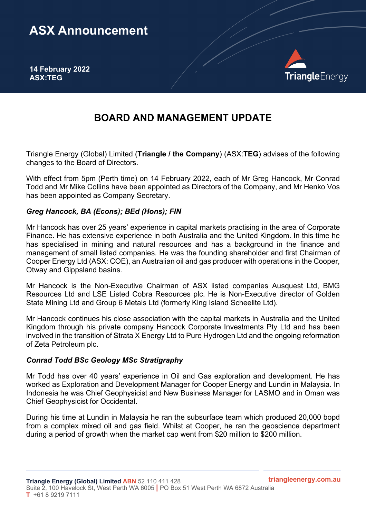# **ASX Announcement**

**14 February 2022 ASX:TEG**



## **BOARD AND MANAGEMENT UPDATE**

Triangle Energy (Global) Limited (**Triangle / the Company**) (ASX:**TEG**) advises of the following changes to the Board of Directors.

With effect from 5pm (Perth time) on 14 February 2022, each of Mr Greg Hancock, Mr Conrad Todd and Mr Mike Collins have been appointed as Directors of the Company, and Mr Henko Vos has been appointed as Company Secretary.

#### *Greg Hancock, BA (Econs); BEd (Hons); FIN*

Mr Hancock has over 25 years' experience in capital markets practising in the area of Corporate Finance. He has extensive experience in both Australia and the United Kingdom. In this time he has specialised in mining and natural resources and has a background in the finance and management of small listed companies. He was the founding shareholder and first Chairman of Cooper Energy Ltd (ASX: COE), an Australian oil and gas producer with operations in the Cooper, Otway and Gippsland basins.

Mr Hancock is the Non-Executive Chairman of ASX listed companies Ausquest Ltd, BMG Resources Ltd and LSE Listed Cobra Resources plc. He is Non-Executive director of Golden State Mining Ltd and Group 6 Metals Ltd (formerly King Island Scheelite Ltd).

Mr Hancock continues his close association with the capital markets in Australia and the United Kingdom through his private company Hancock Corporate Investments Pty Ltd and has been involved in the transition of Strata X Energy Ltd to Pure Hydrogen Ltd and the ongoing reformation of Zeta Petroleum plc.

#### *Conrad Todd BSc Geology MSc Stratigraphy*

Mr Todd has over 40 years' experience in Oil and Gas exploration and development. He has worked as Exploration and Development Manager for Cooper Energy and Lundin in Malaysia. In Indonesia he was Chief Geophysicist and New Business Manager for LASMO and in Oman was Chief Geophysicist for Occidental.

During his time at Lundin in Malaysia he ran the subsurface team which produced 20,000 bopd from a complex mixed oil and gas field. Whilst at Cooper, he ran the geoscience department during a period of growth when the market cap went from \$20 million to \$200 million.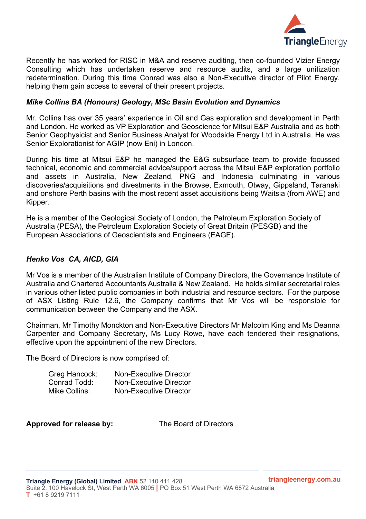

Recently he has worked for RISC in M&A and reserve auditing, then co-founded Vizier Energy Consulting which has undertaken reserve and resource audits, and a large unitization redetermination. During this time Conrad was also a Non-Executive director of Pilot Energy, helping them gain access to several of their present projects.

#### *Mike Collins BA (Honours) Geology, MSc Basin Evolution and Dynamics*

Mr. Collins has over 35 years' experience in Oil and Gas exploration and development in Perth and London. He worked as VP Exploration and Geoscience for Mitsui E&P Australia and as both Senior Geophysicist and Senior Business Analyst for Woodside Energy Ltd in Australia. He was Senior Explorationist for AGIP (now Eni) in London.

During his time at Mitsui E&P he managed the E&G subsurface team to provide focussed technical, economic and commercial advice/support across the Mitsui E&P exploration portfolio and assets in Australia, New Zealand, PNG and Indonesia culminating in various discoveries/acquisitions and divestments in the Browse, Exmouth, Otway, Gippsland, Taranaki and onshore Perth basins with the most recent asset acquisitions being Waitsia (from AWE) and Kipper.

He is a member of the Geological Society of London, the Petroleum Exploration Society of Australia (PESA), the Petroleum Exploration Society of Great Britain (PESGB) and the European Associations of Geoscientists and Engineers (EAGE).

### *Henko Vos CA, AICD, GIA*

Mr Vos is a member of the Australian Institute of Company Directors, the Governance Institute of Australia and Chartered Accountants Australia & New Zealand. He holds similar secretarial roles in various other listed public companies in both industrial and resource sectors. For the purpose of ASX Listing Rule 12.6, the Company confirms that Mr Vos will be responsible for communication between the Company and the ASX.

Chairman, Mr Timothy Monckton and Non-Executive Directors Mr Malcolm King and Ms Deanna Carpenter and Company Secretary, Ms Lucy Rowe, have each tendered their resignations, effective upon the appointment of the new Directors.

The Board of Directors is now comprised of:

| Greg Hancock: | <b>Non-Executive Director</b> |
|---------------|-------------------------------|
| Conrad Todd:  | <b>Non-Executive Director</b> |
| Mike Collins: | Non-Executive Director        |

**Approved for release by:** The Board of Directors